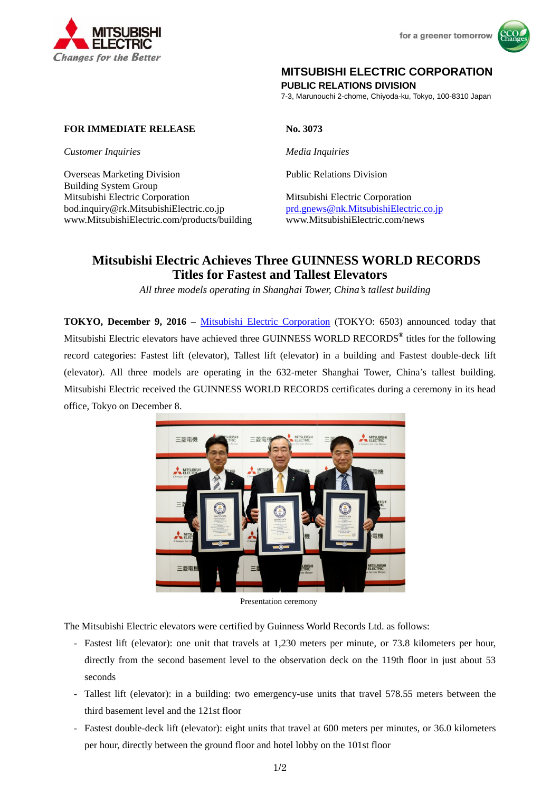



## **MITSUBISHI ELECTRIC CORPORATION**

**PUBLIC RELATIONS DIVISION** 

7-3, Marunouchi 2-chome, Chiyoda-ku, Tokyo, 100-8310 Japan

## **FOR IMMEDIATE RELEASE No. 3073**

*Customer Inquiries Media Inquiries* 

Overseas Marketing Division Public Relations Division Building System Group Mitsubishi Electric Corporation Mitsubishi Electric Corporation bod.inquiry@rk.MitsubishiElectric.co.jp prd.gnews@nk.MitsubishiElectric.co.jp www.MitsubishiElectric.com/products/building www.MitsubishiElectric.com/news

# **Mitsubishi Electric Achieves Three GUINNESS WORLD RECORDS Titles for Fastest and Tallest Elevators**

*All three models operating in Shanghai Tower, China's tallest building* 

**TOKYO, December 9, 2016** – Mitsubishi Electric Corporation (TOKYO: 6503) announced today that Mitsubishi Electric elevators have achieved three GUINNESS WORLD RECORDS**®** titles for the following record categories: Fastest lift (elevator), Tallest lift (elevator) in a building and Fastest double-deck lift (elevator). All three models are operating in the 632-meter Shanghai Tower, China's tallest building. Mitsubishi Electric received the GUINNESS WORLD RECORDS certificates during a ceremony in its head office, Tokyo on December 8.



Presentation ceremony

The Mitsubishi Electric elevators were certified by Guinness World Records Ltd. as follows:

- Fastest lift (elevator): one unit that travels at 1,230 meters per minute, or 73.8 kilometers per hour, directly from the second basement level to the observation deck on the 119th floor in just about 53 seconds
- Tallest lift (elevator): in a building: two emergency-use units that travel 578.55 meters between the third basement level and the 121st floor
- Fastest double-deck lift (elevator): eight units that travel at 600 meters per minutes, or 36.0 kilometers per hour, directly between the ground floor and hotel lobby on the 101st floor